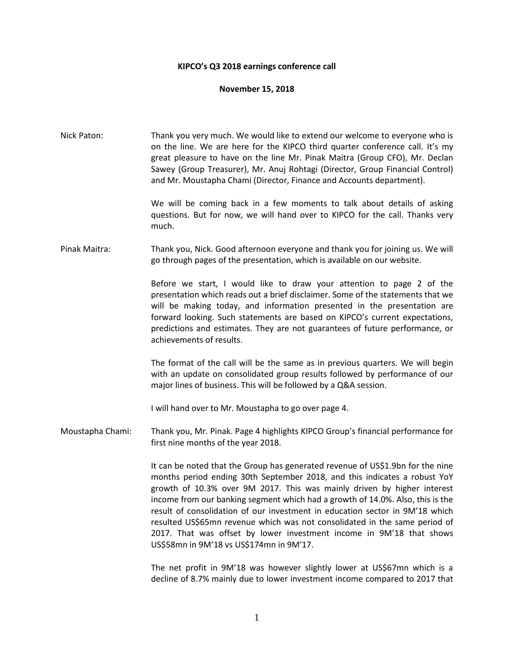## **KIPCO's Q3 2018 earnings conference call**

## **November 15, 2018**

Nick Paton: Thank you very much. We would like to extend our welcome to everyone who is on the line. We are here for the KIPCO third quarter conference call. It's my great pleasure to have on the line Mr. Pinak Maitra (Group CFO), Mr. Declan Sawey (Group Treasurer), Mr. Anuj Rohtagi (Director, Group Financial Control) and Mr. Moustapha Chami (Director, Finance and Accounts department). We will be coming back in a few moments to talk about details of asking questions. But for now, we will hand over to KIPCO for the call. Thanks very much. Pinak Maitra: Thank you, Nick. Good afternoon everyone and thank you for joining us. We will go through pages of the presentation, which is available on our website. Before we start, I would like to draw your attention to page 2 of the presentation which reads out a brief disclaimer. Some of the statements that we will be making today, and information presented in the presentation are forward looking. Such statements are based on KIPCO's current expectations, predictions and estimates. They are not guarantees of future performance, or achievements of results. The format of the call will be the same as in previous quarters. We will begin with an update on consolidated group results followed by performance of our

I will hand over to Mr. Moustapha to go over page 4.

Moustapha Chami: Thank you, Mr. Pinak. Page 4 highlights KIPCO Group's financial performance for first nine months of the year 2018.

major lines of business. This will be followed by a Q&A session.

It can be noted that the Group has generated revenue of US\$1.9bn for the nine months period ending 30th September 2018, and this indicates a robust YoY growth of 10.3% over 9M 2017. This was mainly driven by higher interest income from our banking segment which had a growth of 14.0%. Also, this is the result of consolidation of our investment in education sector in 9M'18 which resulted US\$65mn revenue which was not consolidated in the same period of 2017. That was offset by lower investment income in 9M'18 that shows US\$58mn in 9M'18 vs US\$174mn in 9M'17.

The net profit in 9M'18 was however slightly lower at US\$67mn which is a decline of 8.7% mainly due to lower investment income compared to 2017 that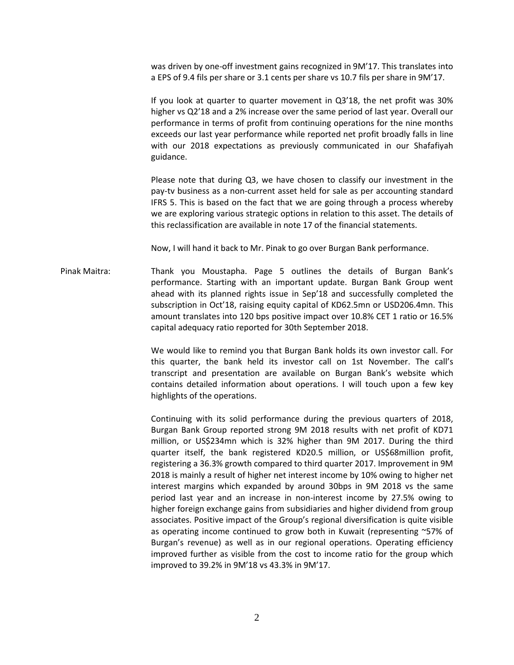was driven by one-off investment gains recognized in 9M'17. This translates into a EPS of 9.4 fils per share or 3.1 cents per share vs 10.7 fils per share in 9M'17.

If you look at quarter to quarter movement in Q3'18, the net profit was 30% higher vs Q2'18 and a 2% increase over the same period of last year. Overall our performance in terms of profit from continuing operations for the nine months exceeds our last year performance while reported net profit broadly falls in line with our 2018 expectations as previously communicated in our Shafafiyah guidance.

Please note that during Q3, we have chosen to classify our investment in the pay-tv business as a non-current asset held for sale as per accounting standard IFRS 5. This is based on the fact that we are going through a process whereby we are exploring various strategic options in relation to this asset. The details of this reclassification are available in note 17 of the financial statements.

Now, I will hand it back to Mr. Pinak to go over Burgan Bank performance.

Pinak Maitra: Thank you Moustapha. Page 5 outlines the details of Burgan Bank's performance. Starting with an important update. Burgan Bank Group went ahead with its planned rights issue in Sep'18 and successfully completed the subscription in Oct'18, raising equity capital of KD62.5mn or USD206.4mn. This amount translates into 120 bps positive impact over 10.8% CET 1 ratio or 16.5% capital adequacy ratio reported for 30th September 2018.

> We would like to remind you that Burgan Bank holds its own investor call. For this quarter, the bank held its investor call on 1st November. The call's transcript and presentation are available on Burgan Bank's website which contains detailed information about operations. I will touch upon a few key highlights of the operations.

> Continuing with its solid performance during the previous quarters of 2018, Burgan Bank Group reported strong 9M 2018 results with net profit of KD71 million, or US\$234mn which is 32% higher than 9M 2017. During the third quarter itself, the bank registered KD20.5 million, or US\$68million profit, registering a 36.3% growth compared to third quarter 2017. Improvement in 9M 2018 is mainly a result of higher net interest income by 10% owing to higher net interest margins which expanded by around 30bps in 9M 2018 vs the same period last year and an increase in non-interest income by 27.5% owing to higher foreign exchange gains from subsidiaries and higher dividend from group associates. Positive impact of the Group's regional diversification is quite visible as operating income continued to grow both in Kuwait (representing ~57% of Burgan's revenue) as well as in our regional operations. Operating efficiency improved further as visible from the cost to income ratio for the group which improved to 39.2% in 9M'18 vs 43.3% in 9M'17.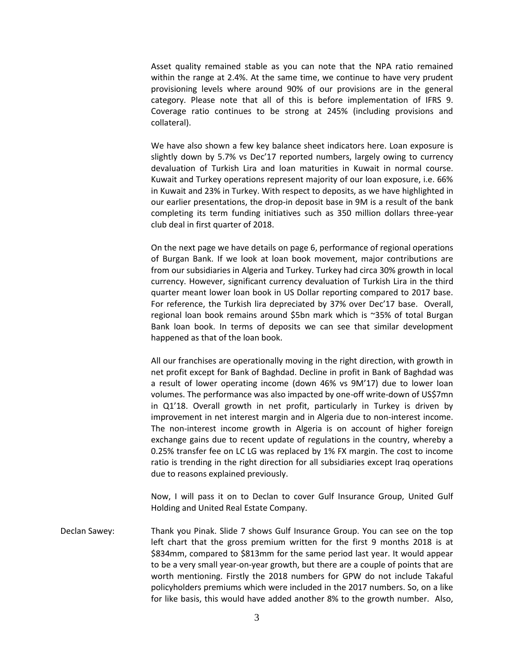Asset quality remained stable as you can note that the NPA ratio remained within the range at 2.4%. At the same time, we continue to have very prudent provisioning levels where around 90% of our provisions are in the general category. Please note that all of this is before implementation of IFRS 9. Coverage ratio continues to be strong at 245% (including provisions and collateral).

We have also shown a few key balance sheet indicators here. Loan exposure is slightly down by 5.7% vs Dec'17 reported numbers, largely owing to currency devaluation of Turkish Lira and loan maturities in Kuwait in normal course. Kuwait and Turkey operations represent majority of our loan exposure, i.e. 66% in Kuwait and 23% in Turkey. With respect to deposits, as we have highlighted in our earlier presentations, the drop-in deposit base in 9M is a result of the bank completing its term funding initiatives such as 350 million dollars three-year club deal in first quarter of 2018.

On the next page we have details on page 6, performance of regional operations of Burgan Bank. If we look at loan book movement, major contributions are from our subsidiaries in Algeria and Turkey. Turkey had circa 30% growth in local currency. However, significant currency devaluation of Turkish Lira in the third quarter meant lower loan book in US Dollar reporting compared to 2017 base. For reference, the Turkish lira depreciated by 37% over Dec'17 base. Overall, regional loan book remains around \$5bn mark which is ~35% of total Burgan Bank loan book. In terms of deposits we can see that similar development happened as that of the loan book.

All our franchises are operationally moving in the right direction, with growth in net profit except for Bank of Baghdad. Decline in profit in Bank of Baghdad was a result of lower operating income (down 46% vs 9M'17) due to lower loan volumes. The performance was also impacted by one-off write-down of US\$7mn in Q1'18. Overall growth in net profit, particularly in Turkey is driven by improvement in net interest margin and in Algeria due to non-interest income. The non-interest income growth in Algeria is on account of higher foreign exchange gains due to recent update of regulations in the country, whereby a 0.25% transfer fee on LC LG was replaced by 1% FX margin. The cost to income ratio is trending in the right direction for all subsidiaries except Iraq operations due to reasons explained previously.

Now, I will pass it on to Declan to cover Gulf Insurance Group, United Gulf Holding and United Real Estate Company.

Declan Sawey: Thank you Pinak. Slide 7 shows Gulf Insurance Group. You can see on the top left chart that the gross premium written for the first 9 months 2018 is at \$834mm, compared to \$813mm for the same period last year. It would appear to be a very small year-on-year growth, but there are a couple of points that are worth mentioning. Firstly the 2018 numbers for GPW do not include Takaful policyholders premiums which were included in the 2017 numbers. So, on a like for like basis, this would have added another 8% to the growth number. Also,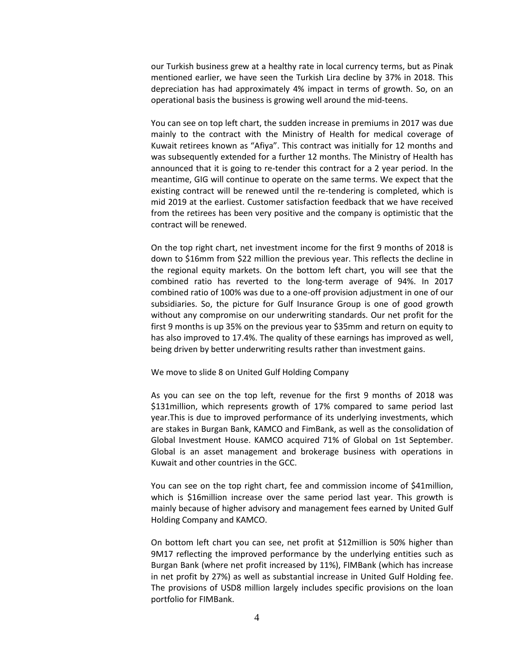our Turkish business grew at a healthy rate in local currency terms, but as Pinak mentioned earlier, we have seen the Turkish Lira decline by 37% in 2018. This depreciation has had approximately 4% impact in terms of growth. So, on an operational basis the business is growing well around the mid-teens.

You can see on top left chart, the sudden increase in premiums in 2017 was due mainly to the contract with the Ministry of Health for medical coverage of Kuwait retirees known as "Afiya". This contract was initially for 12 months and was subsequently extended for a further 12 months. The Ministry of Health has announced that it is going to re-tender this contract for a 2 year period. In the meantime, GIG will continue to operate on the same terms. We expect that the existing contract will be renewed until the re-tendering is completed, which is mid 2019 at the earliest. Customer satisfaction feedback that we have received from the retirees has been very positive and the company is optimistic that the contract will be renewed.

On the top right chart, net investment income for the first 9 months of 2018 is down to \$16mm from \$22 million the previous year. This reflects the decline in the regional equity markets. On the bottom left chart, you will see that the combined ratio has reverted to the long-term average of 94%. In 2017 combined ratio of 100% was due to a one-off provision adjustment in one of our subsidiaries. So, the picture for Gulf Insurance Group is one of good growth without any compromise on our underwriting standards. Our net profit for the first 9 months is up 35% on the previous year to \$35mm and return on equity to has also improved to 17.4%. The quality of these earnings has improved as well, being driven by better underwriting results rather than investment gains.

We move to slide 8 on United Gulf Holding Company

As you can see on the top left, revenue for the first 9 months of 2018 was \$131million, which represents growth of 17% compared to same period last year.This is due to improved performance of its underlying investments, which are stakes in Burgan Bank, KAMCO and FimBank, as well as the consolidation of Global Investment House. KAMCO acquired 71% of Global on 1st September. Global is an asset management and brokerage business with operations in Kuwait and other countries in the GCC.

You can see on the top right chart, fee and commission income of \$41million, which is \$16million increase over the same period last year. This growth is mainly because of higher advisory and management fees earned by United Gulf Holding Company and KAMCO.

On bottom left chart you can see, net profit at \$12million is 50% higher than 9M17 reflecting the improved performance by the underlying entities such as Burgan Bank (where net profit increased by 11%), FIMBank (which has increase in net profit by 27%) as well as substantial increase in United Gulf Holding fee. The provisions of USD8 million largely includes specific provisions on the loan portfolio for FIMBank.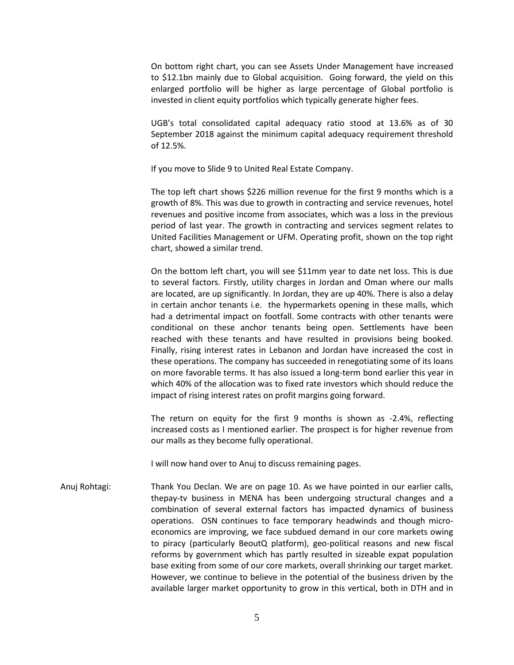On bottom right chart, you can see Assets Under Management have increased to \$12.1bn mainly due to Global acquisition. Going forward, the yield on this enlarged portfolio will be higher as large percentage of Global portfolio is invested in client equity portfolios which typically generate higher fees.

UGB's total consolidated capital adequacy ratio stood at 13.6% as of 30 September 2018 against the minimum capital adequacy requirement threshold of 12.5%.

If you move to Slide 9 to United Real Estate Company.

The top left chart shows \$226 million revenue for the first 9 months which is a growth of 8%. This was due to growth in contracting and service revenues, hotel revenues and positive income from associates, which was a loss in the previous period of last year. The growth in contracting and services segment relates to United Facilities Management or UFM. Operating profit, shown on the top right chart, showed a similar trend.

On the bottom left chart, you will see \$11mm year to date net loss. This is due to several factors. Firstly, utility charges in Jordan and Oman where our malls are located, are up significantly. In Jordan, they are up 40%. There is also a delay in certain anchor tenants i.e. the hypermarkets opening in these malls, which had a detrimental impact on footfall. Some contracts with other tenants were conditional on these anchor tenants being open. Settlements have been reached with these tenants and have resulted in provisions being booked. Finally, rising interest rates in Lebanon and Jordan have increased the cost in these operations. The company has succeeded in renegotiating some of its loans on more favorable terms. It has also issued a long-term bond earlier this year in which 40% of the allocation was to fixed rate investors which should reduce the impact of rising interest rates on profit margins going forward.

The return on equity for the first 9 months is shown as -2.4%, reflecting increased costs as I mentioned earlier. The prospect is for higher revenue from our malls as they become fully operational.

I will now hand over to Anuj to discuss remaining pages.

Anuj Rohtagi: Thank You Declan. We are on page 10. As we have pointed in our earlier calls, thepay-tv business in MENA has been undergoing structural changes and a combination of several external factors has impacted dynamics of business operations. OSN continues to face temporary headwinds and though microeconomics are improving, we face subdued demand in our core markets owing to piracy (particularly BeoutQ platform), geo-political reasons and new fiscal reforms by government which has partly resulted in sizeable expat population base exiting from some of our core markets, overall shrinking our target market. However, we continue to believe in the potential of the business driven by the available larger market opportunity to grow in this vertical, both in DTH and in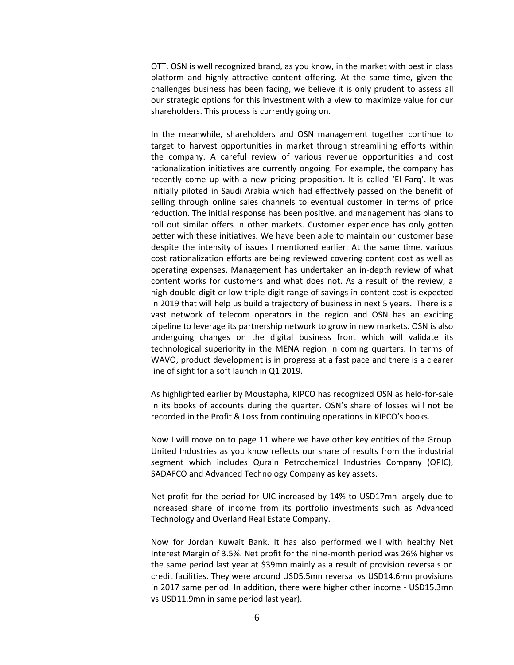OTT. OSN is well recognized brand, as you know, in the market with best in class platform and highly attractive content offering. At the same time, given the challenges business has been facing, we believe it is only prudent to assess all our strategic options for this investment with a view to maximize value for our shareholders. This process is currently going on.

In the meanwhile, shareholders and OSN management together continue to target to harvest opportunities in market through streamlining efforts within the company. A careful review of various revenue opportunities and cost rationalization initiatives are currently ongoing. For example, the company has recently come up with a new pricing proposition. It is called 'El Farq'. It was initially piloted in Saudi Arabia which had effectively passed on the benefit of selling through online sales channels to eventual customer in terms of price reduction. The initial response has been positive, and management has plans to roll out similar offers in other markets. Customer experience has only gotten better with these initiatives. We have been able to maintain our customer base despite the intensity of issues I mentioned earlier. At the same time, various cost rationalization efforts are being reviewed covering content cost as well as operating expenses. Management has undertaken an in-depth review of what content works for customers and what does not. As a result of the review, a high double-digit or low triple digit range of savings in content cost is expected in 2019 that will help us build a trajectory of business in next 5 years. There is a vast network of telecom operators in the region and OSN has an exciting pipeline to leverage its partnership network to grow in new markets. OSN is also undergoing changes on the digital business front which will validate its technological superiority in the MENA region in coming quarters. In terms of WAVO, product development is in progress at a fast pace and there is a clearer line of sight for a soft launch in Q1 2019.

As highlighted earlier by Moustapha, KIPCO has recognized OSN as held-for-sale in its books of accounts during the quarter. OSN's share of losses will not be recorded in the Profit & Loss from continuing operations in KIPCO's books.

Now I will move on to page 11 where we have other key entities of the Group. United Industries as you know reflects our share of results from the industrial segment which includes Qurain Petrochemical Industries Company (QPIC), SADAFCO and Advanced Technology Company as key assets.

Net profit for the period for UIC increased by 14% to USD17mn largely due to increased share of income from its portfolio investments such as Advanced Technology and Overland Real Estate Company.

Now for Jordan Kuwait Bank. It has also performed well with healthy Net Interest Margin of 3.5%. Net profit for the nine-month period was 26% higher vs the same period last year at \$39mn mainly as a result of provision reversals on credit facilities. They were around USD5.5mn reversal vs USD14.6mn provisions in 2017 same period. In addition, there were higher other income - USD15.3mn vs USD11.9mn in same period last year).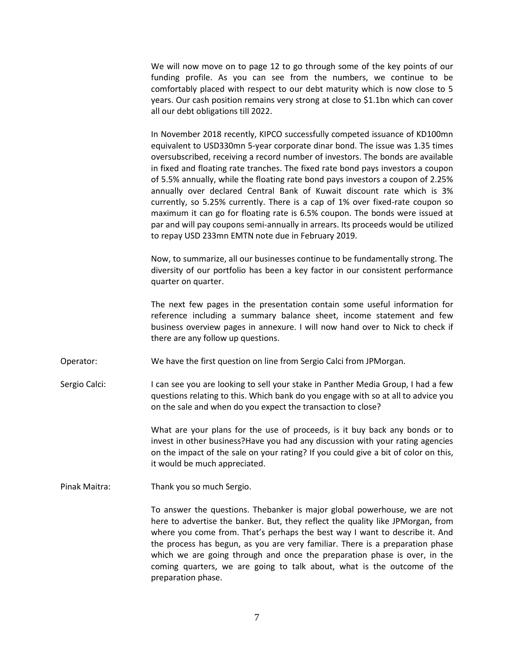We will now move on to page 12 to go through some of the key points of our funding profile. As you can see from the numbers, we continue to be comfortably placed with respect to our debt maturity which is now close to 5 years. Our cash position remains very strong at close to \$1.1bn which can cover all our debt obligations till 2022.

In November 2018 recently, KIPCO successfully competed issuance of KD100mn equivalent to USD330mn 5-year corporate dinar bond. The issue was 1.35 times oversubscribed, receiving a record number of investors. The bonds are available in fixed and floating rate tranches. The fixed rate bond pays investors a coupon of 5.5% annually, while the floating rate bond pays investors a coupon of 2.25% annually over declared Central Bank of Kuwait discount rate which is 3% currently, so 5.25% currently. There is a cap of 1% over fixed-rate coupon so maximum it can go for floating rate is 6.5% coupon. The bonds were issued at par and will pay coupons semi-annually in arrears. Its proceeds would be utilized to repay USD 233mn EMTN note due in February 2019.

Now, to summarize, all our businesses continue to be fundamentally strong. The diversity of our portfolio has been a key factor in our consistent performance quarter on quarter.

The next few pages in the presentation contain some useful information for reference including a summary balance sheet, income statement and few business overview pages in annexure. I will now hand over to Nick to check if there are any follow up questions.

Operator: We have the first question on line from Sergio Calci from JPMorgan.

Sergio Calci: I can see you are looking to sell your stake in Panther Media Group, I had a few questions relating to this. Which bank do you engage with so at all to advice you on the sale and when do you expect the transaction to close?

> What are your plans for the use of proceeds, is it buy back any bonds or to invest in other business?Have you had any discussion with your rating agencies on the impact of the sale on your rating? If you could give a bit of color on this, it would be much appreciated.

Pinak Maitra: Thank you so much Sergio.

To answer the questions. Thebanker is major global powerhouse, we are not here to advertise the banker. But, they reflect the quality like JPMorgan, from where you come from. That's perhaps the best way I want to describe it. And the process has begun, as you are very familiar. There is a preparation phase which we are going through and once the preparation phase is over, in the coming quarters, we are going to talk about, what is the outcome of the preparation phase.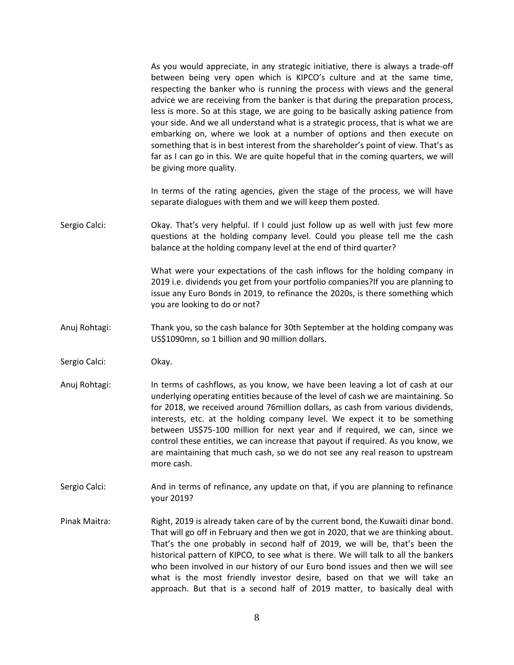As you would appreciate, in any strategic initiative, there is always a trade-off between being very open which is KIPCO's culture and at the same time, respecting the banker who is running the process with views and the general advice we are receiving from the banker is that during the preparation process, less is more. So at this stage, we are going to be basically asking patience from your side. And we all understand what is a strategic process, that is what we are embarking on, where we look at a number of options and then execute on something that is in best interest from the shareholder's point of view. That's as far as I can go in this. We are quite hopeful that in the coming quarters, we will be giving more quality.

In terms of the rating agencies, given the stage of the process, we will have separate dialogues with them and we will keep them posted.

Sergio Calci: Okay. That's very helpful. If I could just follow up as well with just few more questions at the holding company level. Could you please tell me the cash balance at the holding company level at the end of third quarter?

> What were your expectations of the cash inflows for the holding company in 2019 i.e. dividends you get from your portfolio companies?If you are planning to issue any Euro Bonds in 2019, to refinance the 2020s, is there something which you are looking to do or not?

- Anuj Rohtagi: Thank you, so the cash balance for 30th September at the holding company was US\$1090mn, so 1 billion and 90 million dollars.
- Sergio Calci: Okay.
- Anuj Rohtagi: In terms of cashflows, as you know, we have been leaving a lot of cash at our underlying operating entities because of the level of cash we are maintaining. So for 2018, we received around 76million dollars, as cash from various dividends, interests, etc. at the holding company level. We expect it to be something between US\$75-100 million for next year and if required, we can, since we control these entities, we can increase that payout if required. As you know, we are maintaining that much cash, so we do not see any real reason to upstream more cash.
- Sergio Calci: And in terms of refinance, any update on that, if you are planning to refinance your 2019?
- Pinak Maitra: Right, 2019 is already taken care of by the current bond, the Kuwaiti dinar bond. That will go off in February and then we got in 2020, that we are thinking about. That's the one probably in second half of 2019, we will be, that's been the historical pattern of KIPCO, to see what is there. We will talk to all the bankers who been involved in our history of our Euro bond issues and then we will see what is the most friendly investor desire, based on that we will take an approach. But that is a second half of 2019 matter, to basically deal with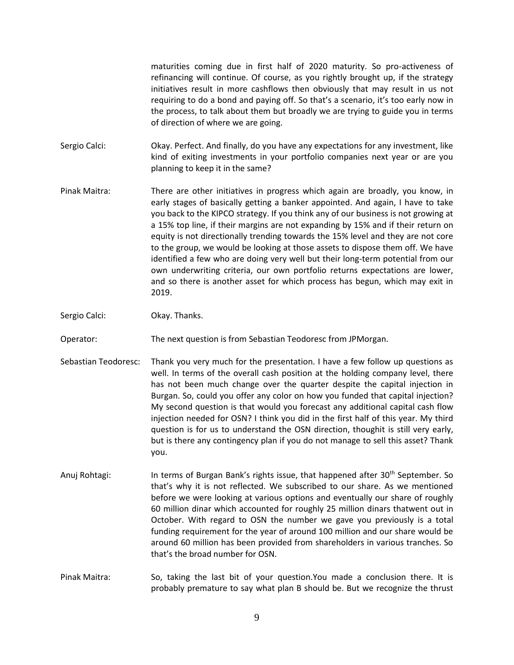maturities coming due in first half of 2020 maturity. So pro-activeness of refinancing will continue. Of course, as you rightly brought up, if the strategy initiatives result in more cashflows then obviously that may result in us not requiring to do a bond and paying off. So that's a scenario, it's too early now in the process, to talk about them but broadly we are trying to guide you in terms of direction of where we are going.

- Sergio Calci: Okay. Perfect. And finally, do you have any expectations for any investment, like kind of exiting investments in your portfolio companies next year or are you planning to keep it in the same?
- Pinak Maitra: There are other initiatives in progress which again are broadly, you know, in early stages of basically getting a banker appointed. And again, I have to take you back to the KIPCO strategy. If you think any of our business is not growing at a 15% top line, if their margins are not expanding by 15% and if their return on equity is not directionally trending towards the 15% level and they are not core to the group, we would be looking at those assets to dispose them off. We have identified a few who are doing very well but their long-term potential from our own underwriting criteria, our own portfolio returns expectations are lower, and so there is another asset for which process has begun, which may exit in 2019.
- Sergio Calci: Okay. Thanks.

Operator: The next question is from Sebastian Teodoresc from JPMorgan.

- Sebastian Teodoresc: Thank you very much for the presentation. I have a few follow up questions as well. In terms of the overall cash position at the holding company level, there has not been much change over the quarter despite the capital injection in Burgan. So, could you offer any color on how you funded that capital injection? My second question is that would you forecast any additional capital cash flow injection needed for OSN? I think you did in the first half of this year. My third question is for us to understand the OSN direction, thoughit is still very early, but is there any contingency plan if you do not manage to sell this asset? Thank you.
- Anuj Rohtagi: In terms of Burgan Bank's rights issue, that happened after 30<sup>th</sup> September. So that's why it is not reflected. We subscribed to our share. As we mentioned before we were looking at various options and eventually our share of roughly 60 million dinar which accounted for roughly 25 million dinars thatwent out in October. With regard to OSN the number we gave you previously is a total funding requirement for the year of around 100 million and our share would be around 60 million has been provided from shareholders in various tranches. So that's the broad number for OSN.
- Pinak Maitra: So, taking the last bit of your question.You made a conclusion there. It is probably premature to say what plan B should be. But we recognize the thrust